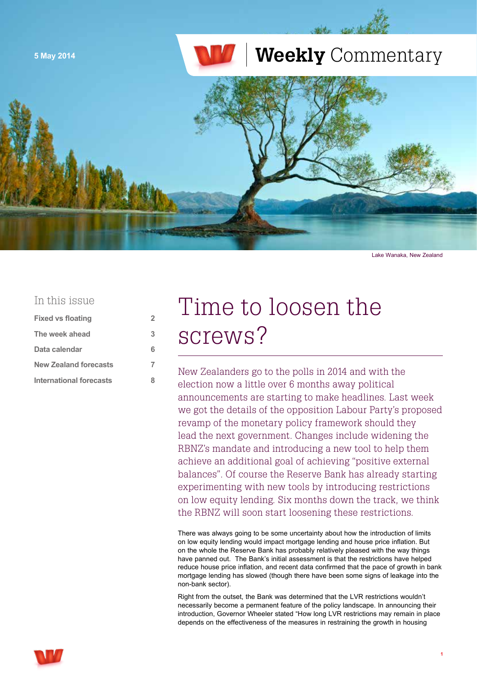

Lake Wanaka, New Zealand

### In this issue

| <b>Fixed vs floating</b>     | 2 |
|------------------------------|---|
| The week ahead               | 3 |
| Data calendar                | 6 |
| <b>New Zealand forecasts</b> | 7 |
| International forecasts      | Զ |

# Time to loosen the screws?

New Zealanders go to the polls in 2014 and with the election now a little over 6 months away political announcements are starting to make headlines. Last week we got the details of the opposition Labour Party's proposed revamp of the monetary policy framework should they lead the next government. Changes include widening the RBNZ's mandate and introducing a new tool to help them achieve an additional goal of achieving "positive external balances". Of course the Reserve Bank has already starting experimenting with new tools by introducing restrictions on low equity lending. Six months down the track, we think the RBNZ will soon start loosening these restrictions.

There was always going to be some uncertainty about how the introduction of limits on low equity lending would impact mortgage lending and house price inflation. But on the whole the Reserve Bank has probably relatively pleased with the way things have panned out. The Bank's initial assessment is that the restrictions have helped reduce house price inflation, and recent data confirmed that the pace of growth in bank mortgage lending has slowed (though there have been some signs of leakage into the non-bank sector).

Right from the outset, the Bank was determined that the LVR restrictions wouldn't necessarily become a permanent feature of the policy landscape. In announcing their introduction, Governor Wheeler stated "How long LVR restrictions may remain in place depends on the effectiveness of the measures in restraining the growth in housing

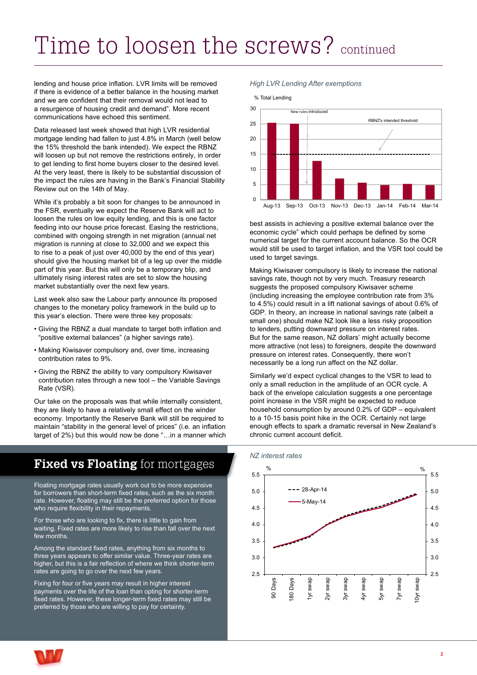# <span id="page-1-0"></span>Time to loosen the screws? continued

lending and house price inflation. LVR limits will be removed if there is evidence of a better balance in the housing market and we are confident that their removal would not lead to a resurgence of housing credit and demand". More recent communications have echoed this sentiment.

Data released last week showed that high LVR residential mortgage lending had fallen to just 4.8% in March (well below the 15% threshold the bank intended). We expect the RBNZ will loosen up but not remove the restrictions entirely, in order to get lending to first home buyers closer to the desired level. At the very least, there is likely to be substantial discussion of the impact the rules are having in the Bank's Financial Stability Review out on the 14th of May.

While it's probably a bit soon for changes to be announced in the FSR, eventually we expect the Reserve Bank will act to loosen the rules on low equity lending, and this is one factor feeding into our house price forecast. Easing the restrictions, combined with ongoing strength in net migration (annual net migration is running at close to 32,000 and we expect this to rise to a peak of just over 40,000 by the end of this year) should give the housing market bit of a leg up over the middle part of this year. But this will only be a temporary blip, and ultimately rising interest rates are set to slow the housing market substantially over the next few years.

Last week also saw the Labour party announce its proposed changes to the monetary policy framework in the build up to this year's election. There were three key proposals:

- Giving the RBNZ a dual mandate to target both inflation and "positive external balances" (a higher savings rate).
- Making Kiwisaver compulsory and, over time, increasing contribution rates to 9%.
- Giving the RBNZ the ability to vary compulsory Kiwisaver contribution rates through a new tool – the Variable Savings Rate (VSR).

Our take on the proposals was that while internally consistent, they are likely to have a relatively small effect on the winder economy. Importantly the Reserve Bank will still be required to maintain "stability in the general level of prices" (i.e. an inflation target of 2%) but this would now be done "…in a manner which

## **Fixed vs Floating** for mortgages

Floating mortgage rates usually work out to be more expensive for borrowers than short-term fixed rates, such as the six month rate. However, floating may still be the preferred option for those who require flexibility in their repayments.

For those who are looking to fix, there is little to gain from waiting. Fixed rates are more likely to rise than fall over the next few months.

Among the standard fixed rates, anything from six months to three years appears to offer similar value. Three-year rates are higher, but this is a fair reflection of where we think shorter-term rates are going to go over the next few years.

Fixing for four or five years may result in higher interest payments over the life of the loan than opting for shorter-term fixed rates. However, these longer-term fixed rates may still be preferred by those who are willing to pay for certainty.

### High LVR Lending After exemptions *High LVR Lending After exemptions*



best assists in achieving a positive external balance over the economic cycle" which could perhaps be defined by some numerical target for the current account balance. So the OCR would still be used to target inflation, and the VSR tool could be used to target savings.

Making Kiwisaver compulsory is likely to increase the national savings rate, though not by very much. Treasury research suggests the proposed compulsory Kiwisaver scheme (including increasing the employee contribution rate from 3% to 4.5%) could result in a lift national savings of about 0.6% of GDP. In theory, an increase in national savings rate (albeit a small one) should make NZ look like a less risky proposition to lenders, putting downward pressure on interest rates. But for the same reason, NZ dollars' might actually become more attractive (not less) to foreigners, despite the downward pressure on interest rates. Consequently, there won't necessarily be a long run affect on the NZ dollar.

Similarly we'd expect cyclical changes to the VSR to lead to only a small reduction in the amplitude of an OCR cycle. A back of the envelope calculation suggests a one percentage point increase in the VSR might be expected to reduce household consumption by around 0.2% of GDP – equivalent to a 10-15 basis point hike in the OCR. Certainly not large enough effects to spark a dramatic reversal in New Zealand's chronic current account deficit.



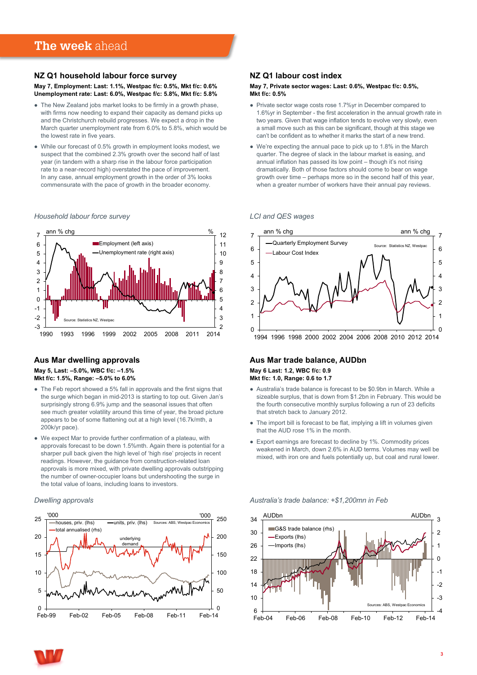#### <span id="page-2-0"></span>**NZ Q1 household labour force survey**

**May 7, Employment: Last: 1.1%, Westpac f/c: 0.5%, Mkt f/c: 0.6% Unemployment rate: Last: 6.0%, Westpac f/c: 5.8%, Mkt f/c: 5.8%**

- The New Zealand jobs market looks to be firmly in a growth phase, with firms now needing to expand their capacity as demand picks up and the Christchurch rebuild progresses. We expect a drop in the March quarter unemployment rate from 6.0% to 5.8%, which would be the lowest rate in five years.
- While our forecast of 0.5% growth in employment looks modest, we suspect that the combined 2.3% growth over the second half of last year (in tandem with a sharp rise in the labour force participation rate to a near-record high) overstated the pace of improvement. In any case, annual employment growth in the order of 3% looks commensurate with the pace of growth in the broader economy.

#### *Household labour force survey* **Household labour force survey**



#### **Aus Mar dwelling approvals May 5, Last: –5.0%, WBC f/c: –1.5% Mkt f/c: 1.5%, Range: –5.0% to 6.0%**

- The Feb report showed a 5% fall in approvals and the first signs that the surge which began in mid-2013 is starting to top out. Given Jan's surprisingly strong 6.9% jump and the seasonal issues that often see much greater volatility around this time of year, the broad picture appears to be of some flattening out at a high level (16.7k/mth, a 200k/yr pace).
- We expect Mar to provide further confirmation of a plateau, with approvals forecast to be down 1.5%mth. Again there is potential for a sharper pull back given the high level of 'high rise' projects in recent readings. However, the guidance from construction-related loan approvals is more mixed, with private dwelling approvals outstripping the number of owner-occupier loans but undershooting the surge in the total value of loans, including loans to investors.

#### *Dwelling approvals* **Dwelling approvals**



#### **NZ Q1 labour cost index**

#### **May 7, Private sector wages: Last: 0.6%, Westpac f/c: 0.5%, Mkt f/c: 0.5%**

- Private sector wage costs rose 1.7%yr in December compared to 1.6%yr in September - the first acceleration in the annual growth rate in two years. Given that wage inflation tends to evolve very slowly, even a small move such as this can be significant, though at this stage we can't be confident as to whether it marks the start of a new trend.
- We're expecting the annual pace to pick up to 1.8% in the March quarter. The degree of slack in the labour market is easing, and annual inflation has passed its low point – though it's not rising dramatically. Both of those factors should come to bear on wage growth over time – perhaps more so in the second half of this year, when a greater number of workers have their annual pay reviews.

#### *LCI and QES wages* **LCI and QES wages**



#### **Aus Mar trade balance, AUDbn May 6 Last: 1.2, WBC f/c: 0.9 Mkt f/c: 1.0, Range: 0.6 to 1.7**

- Australia's trade balance is forecast to be \$0.9bn in March. While a sizeable surplus, that is down from \$1.2bn in February. This would be the fourth consecutive monthly surplus following a run of 23 deficits that stretch back to January 2012.
- The import bill is forecast to be flat, implying a lift in volumes given that the AUD rose 1% in the month.
- Export earnings are forecast to decline by 1%. Commodity prices weakened in March, down 2.6% in AUD terms. Volumes may well be mixed, with iron ore and fuels potentially up, but coal and rural lower.

*Australia's trade balance: +\$1,200mn in Feb* **Australia's trade balance: +\$1,200mn in Feb**



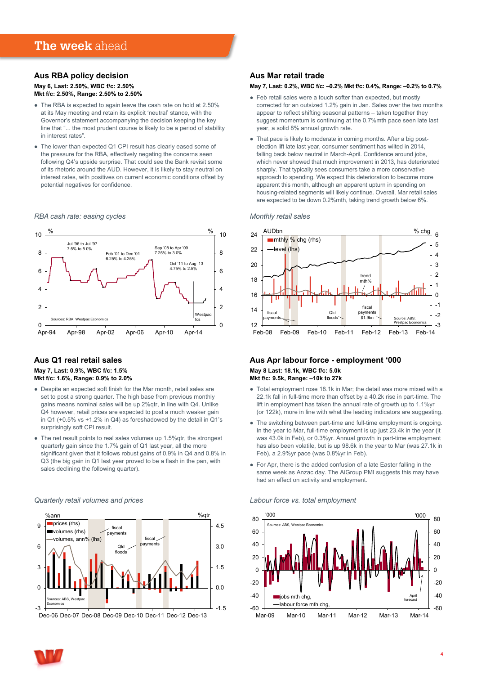#### **Aus RBA policy decision May 6, Last: 2.50%, WBC f/c: 2.50% Mkt f/c: 2.50%, Range: 2.50% to 2.50%**

- The RBA is expected to again leave the cash rate on hold at 2.50% at its May meeting and retain its explicit 'neutral' stance, with the Governor's statement accompanying the decision keeping the key line that "... the most prudent course is likely to be a period of stability in interest rates".
- The lower than expected Q1 CPI result has clearly eased some of the pressure for the RBA, effectively negating the concerns seen following Q4's upside surprise. That could see the Bank revisit some of its rhetoric around the AUD. However, it is likely to stay neutral on interest rates, with positives on current economic conditions offset by potential negatives for confidence.

#### *RBA cash rate: easing cycles* **RBA cash rate: easing cycles**



#### **Aus Q1 real retail sales May 7, Last: 0.9%, WBC f/c: 1.5% Mkt f/c: 1.6%, Range: 0.9% to 2.0%**

*Quarterly retail volumes and prices* **Quarterly retail volumes and prices**

- Despite an expected soft finish for the Mar month, retail sales are set to post a strong quarter. The high base from previous monthly gains means nominal sales will be up 2%qtr, in line with Q4. Unlike Q4 however, retail prices are expected to post a much weaker gain in Q1 (+0.5% vs +1.2% in Q4) as foreshadowed by the detail in Q1's surprisingly soft CPI result.
- The net result points to real sales volumes up 1.5%qtr, the strongest quarterly gain since the 1.7% gain of Q1 last year, all the more significant given that it follows robust gains of 0.9% in Q4 and 0.8% in Q3 (the big gain in Q1 last year proved to be a flash in the pan, with sales declining the following quarter).

#### $-1.5$  $0.0$ 1.5 3.0 4.5  $-3$  $\Omega$ 3 6 9 %ann %qtr prices (rhs) volumes (rhs) volumes, ann% (lhs) Sources: ABS, We Economics fiscal payments Qld flood fiscal payments

Dec-06 Dec-07 Dec-08 Dec-09 Dec-10 Dec-11 Dec-12 Dec-13

#### **Aus Mar retail trade**

#### **May 7, Last: 0.2%, WBC f/c: –0.2% Mkt f/c: 0.4%, Range: –0.2% to 0.7%**

- Feb retail sales were a touch softer than expected, but mostly corrected for an outsized 1.2% gain in Jan. Sales over the two months appear to reflect shifting seasonal patterns – taken together they suggest momentum is continuing at the 0.7%mth pace seen late last year, a solid 8% annual growth rate.
- That pace is likely to moderate in coming months. After a big postelection lift late last year, consumer sentiment has wilted in 2014, falling back below neutral in March-April. Confidence around jobs, which never showed that much improvement in 2013, has deteriorated sharply. That typically sees consumers take a more conservative approach to spending. We expect this deterioration to become more apparent this month, although an apparent upturn in spending on housing-related segments will likely continue. Overall, Mar retail sales are expected to be down 0.2%mth, taking trend growth below 6%.

#### *Monthly retail sales* **Monthly retail sales**



#### **Aus Apr labour force - employment '000 May 8 Last: 18.1k, WBC f/c: 5.0k Mkt f/c: 9.5k, Range: –10k to 27k**

- Total employment rose 18.1k in Mar; the detail was more mixed with a 22.1k fall in full-time more than offset by a 40.2k rise in part-time. The lift in employment has taken the annual rate of growth up to 1.1%yr (or 122k), more in line with what the leading indicators are suggesting.
- The switching between part-time and full-time employment is ongoing. In the year to Mar, full-time employment is up just 23.4k in the year (it was 43.0k in Feb), or 0.3%yr. Annual growth in part-time employment has also been volatile, but is up 98.6k in the year to Mar (was 27.1k in Feb), a 2.9%yr pace (was 0.8%yr in Feb).
- For Apr, there is the added confusion of a late Easter falling in the same week as Anzac day. The AiGroup PMI suggests this may have had an effect on activity and employment.

#### *Labour force vs. total employment* **Labour force vs. total employment**



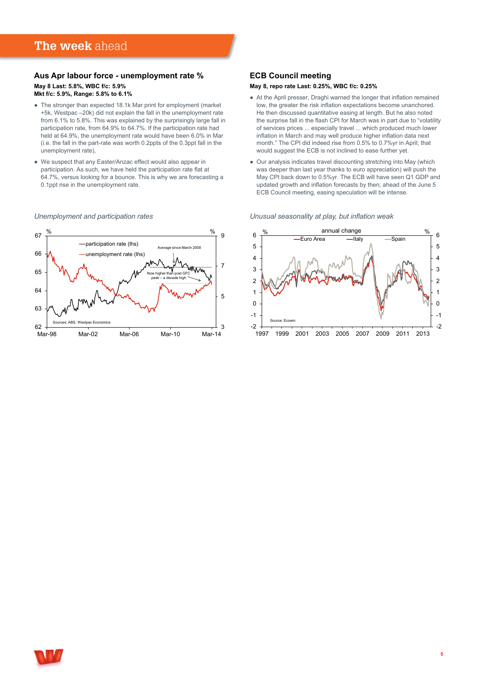### **The week** ahead

#### **Aus Apr labour force - unemployment rate % May 8 Last: 5.8%, WBC f/c: 5.9% Mkt f/c: 5.9%, Range: 5.8% to 6.1%**

- The stronger than expected 18.1k Mar print for employment (market +5k, Westpac –20k) did not explain the fall in the unemployment rate from 6.1% to 5.8%. This was explained by the surprisingly large fall in participation rate, from 64.9% to 64.7%. If the participation rate had held at 64.9%, the unemployment rate would have been 6.0% in Mar (i.e. the fall in the part-rate was worth 0.2ppts of the 0.3ppt fall in the unemployment rate),
- We suspect that any Easter/Anzac effect would also appear in participation. As such, we have held the participation rate flat at 64.7%, versus looking for a bounce. This is why we are forecasting a 0.1ppt rise in the unemployment rate.

#### *Unemployment and participation rates* **Unemployment and participation rates**



#### **ECB Council meeting**

#### **May 8, repo rate Last: 0.25%, WBC f/c: 0.25%**

- At the April presser, Draghi warned the longer that inflation remained low, the greater the risk inflation expectations become unanchored. He then discussed quantitative easing at length. But he also noted the surprise fall in the flash CPI for March was in part due to "volatility of services prices ... especially travel ... which produced much lower inflation in March and may well produce higher inflation data next month." The CPI did indeed rise from 0.5% to 0.7%yr in April; that would suggest the ECB is not inclined to ease further yet.
- Our analysis indicates travel discounting stretching into May (which was deeper than last year thanks to euro appreciation) will push the May CPI back down to 0.5%yr. The ECB will have seen Q1 GDP and updated growth and inflation forecasts by then; ahead of the June 5 ECB Council meeting, easing speculation will be intense.



*Unusual seasonality at play, but inflation weak* **Unusual seasonality at play, but inflation weak**

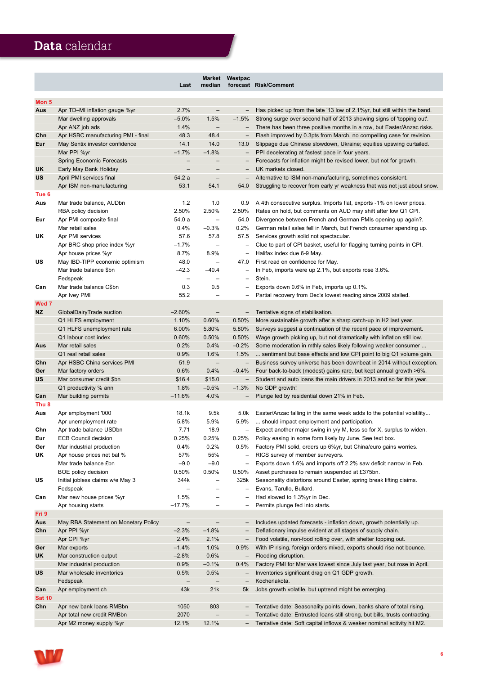# <span id="page-5-0"></span>**Data** calendar

|                  |                                      | Last                         | median                       | Market Westpac             | forecast Risk/Comment                                                                                                              |
|------------------|--------------------------------------|------------------------------|------------------------------|----------------------------|------------------------------------------------------------------------------------------------------------------------------------|
| Mon <sub>5</sub> |                                      |                              |                              |                            |                                                                                                                                    |
| Aus              | Apr TD-MI inflation gauge %yr        | 2.7%                         | $\qquad \qquad -$            | -                          | Has picked up from the late '13 low of 2.1% yr, but still within the band.                                                         |
|                  | Mar dwelling approvals               | $-5.0%$                      | 1.5%                         | $-1.5%$                    | Strong surge over second half of 2013 showing signs of 'topping out'.                                                              |
|                  | Apr ANZ job ads                      | 1.4%                         | $\qquad \qquad -$            | $\overline{\phantom{a}}$   | There has been three positive months in a row, but Easter/Anzac risks.                                                             |
| Chn              | Apr HSBC manufacturing PMI - final   | 48.3                         | 48.4                         | $\overline{\phantom{0}}$   | Flash improved by 0.3pts from March, no compelling case for revision.                                                              |
| Eur              | May Sentix investor confidence       | 14.1                         | 14.0                         | 13.0                       | Slippage due Chinese slowdown, Ukraine; equities upswing curtailed.                                                                |
|                  | Mar PPI %yr                          | $-1.7%$                      | $-1.8%$                      |                            | PPI decelerating at fastest pace in four years.                                                                                    |
|                  | <b>Spring Economic Forecasts</b>     | $\overline{\phantom{0}}$     |                              |                            | Forecasts for inflation might be revised lower, but not for growth.                                                                |
| UK               | Early May Bank Holiday               | $\overline{\phantom{0}}$     |                              |                            | UK markets closed.                                                                                                                 |
| <b>US</b>        | April PMI services final             | 54.2 a                       | $\qquad \qquad -$            |                            | Alternative to ISM non-manufacturing, sometimes consistent.                                                                        |
|                  | Apr ISM non-manufacturing            | 53.1                         | 54.1                         | 54.0                       | Struggling to recover from early yr weakness that was not just about snow.                                                         |
| Tue 6            |                                      |                              |                              |                            |                                                                                                                                    |
| Aus              | Mar trade balance, AUDbn             | 1.2                          | 1.0                          | 0.9                        | A 4th consecutive surplus. Imports flat, exports -1% on lower prices.                                                              |
|                  | RBA policy decision                  | 2.50%                        | 2.50%                        | 2.50%                      | Rates on hold, but comments on AUD may shift after low Q1 CPI.                                                                     |
| Eur              | Apr PMI composite final              | 54.0 a                       | $\overline{\phantom{0}}$     | 54.0                       | Divergence between French and German PMIs opening up again?.                                                                       |
|                  | Mar retail sales                     | 0.4%                         | $-0.3%$                      | 0.2%                       | German retail sales fell in March, but French consumer spending up.                                                                |
| UK               | Apr PMI services                     | 57.6                         | 57.8                         | 57.5                       | Services growth solid not spectacular.                                                                                             |
|                  | Apr BRC shop price index %yr         | $-1.7\%$                     | $\qquad \qquad -$            | -                          | Clue to part of CPI basket, useful for flagging turning points in CPI.                                                             |
|                  | Apr house prices %yr                 | 8.7%                         | 8.9%                         |                            | Halifax index due 6-9 May.                                                                                                         |
| US               | May IBD-TIPP economic optimism       | 48.0                         | $\overline{\phantom{0}}$     | 47.0                       | First read on confidence for May.                                                                                                  |
|                  | Mar trade balance \$bn               | $-42.3$                      | $-40.4$                      |                            | In Feb, imports were up 2.1%, but exports rose 3.6%.                                                                               |
|                  | Fedspeak                             | $\qquad \qquad -$            | -                            | $\qquad \qquad -$          | Stein.                                                                                                                             |
| Can              | Mar trade balance C\$bn              | 0.3                          | 0.5                          | $\overline{\phantom{0}}$   | Exports down 0.6% in Feb, imports up 0.1%.                                                                                         |
| Wed 7            | Apr Ivey PMI                         | 55.2                         | $\overline{\phantom{0}}$     |                            | Partial recovery from Dec's lowest reading since 2009 stalled.                                                                     |
| <b>NZ</b>        | GlobalDairyTrade auction             | $-2.60%$                     | $\qquad \qquad -$            |                            | Tentative signs of stabilisation.                                                                                                  |
|                  | Q1 HLFS employment                   | 1.10%                        | 0.60%                        | $\qquad \qquad -$<br>0.50% | More sustainable growth after a sharp catch-up in H2 last year.                                                                    |
|                  | Q1 HLFS unemployment rate            | 6.00%                        | 5.80%                        | 5.80%                      | Surveys suggest a continuation of the recent pace of improvement.                                                                  |
|                  | Q1 labour cost index                 | 0.60%                        | 0.50%                        | 0.50%                      | Wage growth picking up, but not dramatically with inflation still low.                                                             |
| Aus              | Mar retail sales                     | 0.2%                         | 0.4%                         | $-0.2%$                    | Some moderation in mthly sales likely following weaker consumer                                                                    |
|                  | Q1 real retail sales                 | 0.9%                         | 1.6%                         | 1.5%                       | sentiment but base effects and low CPI point to big Q1 volume gain.                                                                |
| Chn              | Apr HSBC China services PMI          | 51.9                         | $\qquad \qquad -$            | $\overline{\phantom{a}}$   | Business survey universe has been downbeat in 2014 without exception.                                                              |
| Ger              | Mar factory orders                   | 0.6%                         | 0.4%                         | $-0.4%$                    | Four back-to-back (modest) gains rare, but kept annual growth >6%.                                                                 |
| US               | Mar consumer credit \$bn             | \$16.4                       | \$15.0                       | $\qquad \qquad -$          | Student and auto loans the main drivers in 2013 and so far this year.                                                              |
|                  | Q1 productivity % ann                | 1.8%                         | $-0.5%$                      | $-1.3%$                    | No GDP growth!                                                                                                                     |
| Can              | Mar building permits                 | $-11.6%$                     | 4.0%                         |                            | Plunge led by residential down 21% in Feb.                                                                                         |
| Thu <sub>8</sub> |                                      |                              |                              |                            |                                                                                                                                    |
| Aus              | Apr employment '000                  | 18.1k                        | 9.5k                         | 5.0k                       | Easter/Anzac falling in the same week adds to the potential volatility                                                             |
|                  | Apr unemployment rate                | 5.8%                         | 5.9%                         | 5.9%                       | should impact employment and participation.                                                                                        |
| Chn              | Apr trade balance USDbn              | 7.71                         | 18.9                         | $\qquad \qquad -$          | Expect another major swing in y/y M, less so for X, surplus to widen.                                                              |
| Eur              | <b>ECB Council decision</b>          | 0.25%                        | 0.25%                        | 0.25%                      | Policy easing in some form likely by June. See text box.                                                                           |
| Ger              | Mar industrial production            | 0.4%                         | 0.2%                         | 0.5%                       | Factory PMI solid, orders up 6%yr, but China/euro gains worries.                                                                   |
| UK               | Apr house prices net bal %           | 57%                          | 55%                          | -                          | RICS survey of member surveyors.                                                                                                   |
|                  | Mar trade balance £bn                | $-9.0$                       | $-9.0$                       | $\overline{\phantom{0}}$   | Exports down 1.6% and imports off 2.2% saw deficit narrow in Feb.                                                                  |
|                  | BOE policy decision                  | $0.50\%$                     | 0.50%                        | 0.50%                      | Asset purchases to remain suspended at £375bn.                                                                                     |
| US               | Initial jobless claims w/e May 3     | 344k                         | $\overline{\phantom{0}}$     | 325k                       | Seasonality distortions around Easter, spring break lifting claims.                                                                |
|                  | Fedspeak                             | $\qquad \qquad -$            | -                            | -                          | Evans, Tarullo, Bullard.                                                                                                           |
| Can              | Mar new house prices %yr             | 1.5%                         | -                            |                            | Had slowed to 1.3%yr in Dec.                                                                                                       |
|                  | Apr housing starts                   | $-17.7%$                     | $\qquad \qquad -$            |                            | Permits plunge fed into starts.                                                                                                    |
| Fri 9            |                                      |                              |                              |                            |                                                                                                                                    |
| Aus<br>Chn       | May RBA Statement on Monetary Policy | $\qquad \qquad -$<br>$-2.3%$ | $\qquad \qquad -$<br>$-1.8%$ |                            | Includes updated forecasts - inflation down, growth potentially up.<br>Deflationary impulse evident at all stages of supply chain. |
|                  | Apr PPI %yr<br>Apr CPI %yr           | 2.4%                         | 2.1%                         | $\qquad \qquad -$          | Food volatile, non-food rolling over, with shelter topping out.                                                                    |
| Ger              | Mar exports                          | $-1.4%$                      | 1.0%                         | 0.9%                       | With IP rising, foreign orders mixed, exports should rise not bounce.                                                              |
| UK               | Mar construction output              | $-2.8%$                      | 0.6%                         | $\overline{\phantom{m}}$   | Flooding disruption.                                                                                                               |
|                  | Mar industrial production            | 0.9%                         | $-0.1%$                      | 0.4%                       | Factory PMI for Mar was lowest since July last year, but rose in April.                                                            |
| US               | Mar wholesale inventories            | 0.5%                         | 0.5%                         |                            | Inventories significant drag on Q1 GDP growth.                                                                                     |
|                  | Fedspeak                             | $\qquad \qquad -$            | <b>-</b>                     |                            | Kocherlakota.                                                                                                                      |
| Can              | Apr employment ch                    | 43k                          | 21k                          | 5k                         | Jobs growth volatile, but uptrend might be emerging.                                                                               |
| <b>Sat 10</b>    |                                      |                              |                              |                            |                                                                                                                                    |
| Chn              | Apr new bank loans RMBbn             | 1050                         | 803                          | $\qquad \qquad -$          | Tentative date: Seasonality points down, banks share of total rising.                                                              |
|                  | Apr total new credit RMBbn           | 2070                         |                              |                            | Tentative date: Entrusted loans still strong, but bills, trusts contracting.                                                       |
|                  | Apr M2 money supply %yr              | 12.1%                        | 12.1%                        | $\qquad \qquad -$          | Tentative date: Soft capital inflows & weaker nominal activity hit M2.                                                             |

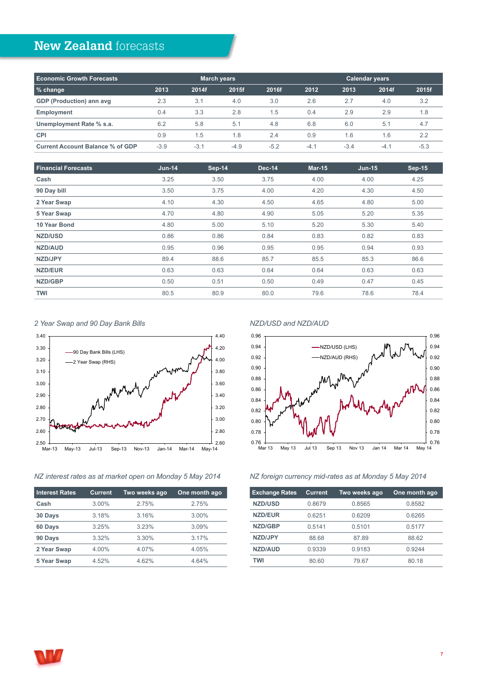# <span id="page-6-0"></span>**New Zealand** forecasts

| <b>Economic Growth Forecasts</b>        |        |        | <b>Calendar years</b><br>March years |        |        |        |        |        |
|-----------------------------------------|--------|--------|--------------------------------------|--------|--------|--------|--------|--------|
| % change                                | 2013   | 2014f  | 2015f                                | 2016f  | 2012   | 2013   | 2014f  | 2015f  |
| <b>GDP (Production) ann avg</b>         | 2.3    | 3.1    | 4.0                                  | 3.0    | 2.6    | 2.7    | 4.0    | 3.2    |
| <b>Employment</b>                       | 0.4    | 3.3    | 2.8                                  | 1.5    | 0.4    | 2.9    | 2.9    | 1.8    |
| Unemployment Rate % s.a.                | 6.2    | 5.8    | 5.1                                  | 4.8    | 6.8    | 6.0    | 5.1    | 4.7    |
| <b>CPI</b>                              | 0.9    | 1.5    | 1.8                                  | 2.4    | 0.9    | 1.6    | 1.6    | 2.2    |
| <b>Current Account Balance % of GDP</b> | $-3.9$ | $-3.1$ | $-4.9$                               | $-5.2$ | $-4.1$ | $-3.4$ | $-4.1$ | $-5.3$ |

| <b>Financial Forecasts</b> | $Jun-14$ | Sep-14 | <b>Dec-14</b> | $Mar-15$ | $Jun-15$ | <b>Sep-15</b> |
|----------------------------|----------|--------|---------------|----------|----------|---------------|
| Cash                       | 3.25     | 3.50   | 3.75          | 4.00     | 4.00     | 4.25          |
| 90 Day bill                | 3.50     | 3.75   | 4.00          | 4.20     | 4.30     | 4.50          |
| 2 Year Swap                | 4.10     | 4.30   | 4.50          | 4.65     | 4.80     | 5.00          |
| 5 Year Swap                | 4.70     | 4.80   | 4.90          | 5.05     | 5.20     | 5.35          |
| 10 Year Bond               | 4.80     | 5.00   | 5.10          | 5.20     | 5.30     | 5.40          |
| <b>NZD/USD</b>             | 0.86     | 0.86   | 0.84          | 0.83     | 0.82     | 0.83          |
| NZD/AUD                    | 0.95     | 0.96   | 0.95          | 0.95     | 0.94     | 0.93          |
| NZD/JPY                    | 89.4     | 88.6   | 85.7          | 85.5     | 85.3     | 86.6          |
| <b>NZD/EUR</b>             | 0.63     | 0.63   | 0.64          | 0.64     | 0.63     | 0.63          |
| NZD/GBP                    | 0.50     | 0.51   | 0.50          | 0.49     | 0.47     | 0.45          |
| <b>TWI</b>                 | 80.5     | 80.9   | 80.0          | 79.6     | 78.6     | 78.4          |

*2 Year Swap and 90 Day Bank Bills*



#### *NZ interest rates as at market open on Monday 5 May 2014*

| <b>Interest Rates</b> | <b>Current</b> | Two weeks ago | One month ago |
|-----------------------|----------------|---------------|---------------|
| Cash                  | 3.00%          | 2.75%         | 2.75%         |
| 30 Days               | 3.18%          | 3.16%         | 3.00%         |
| 60 Days               | 3.25%          | 3.23%         | 3.09%         |
| 90 Days               | 3.32%          | 3.30%         | 3.17%         |
| 2 Year Swap           | 4.00%          | 4.07%         | 4.05%         |
| 5 Year Swap           | 4.52%          | 4.62%         | 4.64%         |
|                       |                |               |               |

#### *NZD/USD and NZD/AUD*



#### *NZ foreign currency mid-rates as at Monday 5 May 2014*

| <b>Exchange Rates</b> | <b>Current</b> | Two weeks ago | One month ago |
|-----------------------|----------------|---------------|---------------|
| <b>NZD/USD</b>        | 0.8679         | 0.8565        | 0.8582        |
| <b>NZD/EUR</b>        | 0.6251         | 0.6209        | 0.6265        |
| NZD/GBP               | 0.5141         | 0.5101        | 0.5177        |
| NZD/JPY               | 88.68          | 87.89         | 88.62         |
| <b>NZD/AUD</b>        | 0.9339         | 0.9183        | 0.9244        |
| TWI                   | 80.60          | 79.67         | 80.18         |

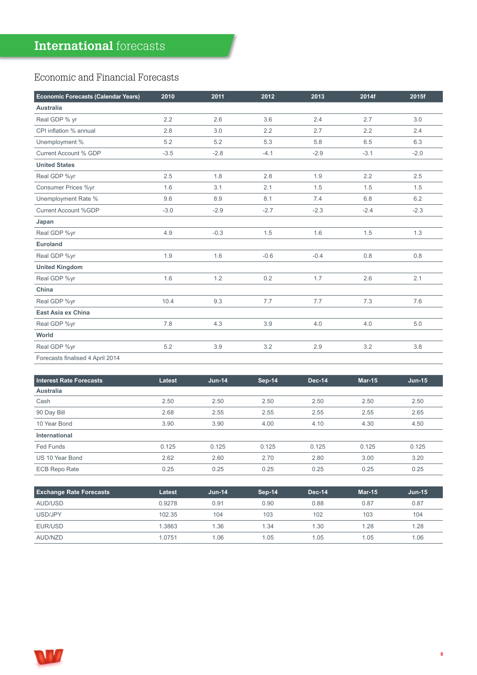## <span id="page-7-0"></span>Economic and Financial Forecasts

| Economic Forecasts (Calendar Years) | 2010   | 2011   | 2012   | 2013   | 2014f  | 2015f  |
|-------------------------------------|--------|--------|--------|--------|--------|--------|
| Australia                           |        |        |        |        |        |        |
| Real GDP % yr                       | 2.2    | 2.6    | 3.6    | 2.4    | 2.7    | 3.0    |
| CPI inflation % annual              | 2.8    | 3.0    | 2.2    | 2.7    | 2.2    | 2.4    |
| Unemployment %                      | 5.2    | 5.2    | 5.3    | 5.8    | 6.5    | 6.3    |
| Current Account % GDP               | $-3.5$ | $-2.8$ | $-4.1$ | $-2.9$ | $-3.1$ | $-2.0$ |
| <b>United States</b>                |        |        |        |        |        |        |
| Real GDP %yr                        | 2.5    | 1.8    | 2.8    | 1.9    | 2.2    | 2.5    |
| Consumer Prices %yr                 | 1.6    | 3.1    | 2.1    | 1.5    | 1.5    | 1.5    |
| Unemployment Rate %                 | 9.6    | 8.9    | 8.1    | 7.4    | 6.8    | 6.2    |
| <b>Current Account %GDP</b>         | $-3.0$ | $-2.9$ | $-2.7$ | $-2.3$ | $-2.4$ | $-2.3$ |
| Japan                               |        |        |        |        |        |        |
| Real GDP %yr                        | 4.9    | $-0.3$ | 1.5    | 1.6    | 1.5    | 1.3    |
| <b>Euroland</b>                     |        |        |        |        |        |        |
| Real GDP %yr                        | 1.9    | 1.6    | $-0.6$ | $-0.4$ | 0.8    | 0.8    |
| <b>United Kingdom</b>               |        |        |        |        |        |        |
| Real GDP %yr                        | 1.6    | 1.2    | 0.2    | 1.7    | 2.6    | 2.1    |
| China                               |        |        |        |        |        |        |
| Real GDP %yr                        | 10.4   | 9.3    | 7.7    | 7.7    | 7.3    | 7.6    |
| East Asia ex China                  |        |        |        |        |        |        |
| Real GDP %yr                        | 7.8    | 4.3    | 3.9    | 4.0    | 4.0    | 5.0    |
| World                               |        |        |        |        |        |        |
| Real GDP %yr                        | 5.2    | 3.9    | 3.2    | 2.9    | 3.2    | 3.8    |
| Forecasts finalised 4 April 2014    |        |        |        |        |        |        |

| <b>Interest Rate Forecasts</b> | Latest | $Jun-14$ | <b>Sep-14</b> | Dec-14 | Mar-15 | $Jun-15$ |
|--------------------------------|--------|----------|---------------|--------|--------|----------|
| <b>Australia</b>               |        |          |               |        |        |          |
| Cash                           | 2.50   | 2.50     | 2.50          | 2.50   | 2.50   | 2.50     |
| 90 Day Bill                    | 2.68   | 2.55     | 2.55          | 2.55   | 2.55   | 2.65     |
| 10 Year Bond                   | 3.90   | 3.90     | 4.00          | 4.10   | 4.30   | 4.50     |
| International                  |        |          |               |        |        |          |
| Fed Funds                      | 0.125  | 0.125    | 0.125         | 0.125  | 0.125  | 0.125    |
| US 10 Year Bond                | 2.62   | 2.60     | 2.70          | 2.80   | 3.00   | 3.20     |
| <b>ECB Repo Rate</b>           | 0.25   | 0.25     | 0.25          | 0.25   | 0.25   | 0.25     |

| <b>Exchange Rate Forecasts</b> | Latest | $Jun-14$ | Sep-14 | <b>Dec-14</b> | <b>Mar-15</b> | <b>Jun-15</b> |
|--------------------------------|--------|----------|--------|---------------|---------------|---------------|
| AUD/USD                        | 0.9278 | 0.91     | 0.90   | 0.88          | 0.87          | 0.87          |
| USD/JPY                        | 102.35 | 104      | 103    | 102           | 103           | 104           |
| EUR/USD                        | 1.3863 | 1.36     | 1.34   | 1.30          | 1.28          | 1.28          |
| AUD/NZD                        | 1.0751 | 1.06     | 1.05   | 1.05          | 1.05          | 1.06          |

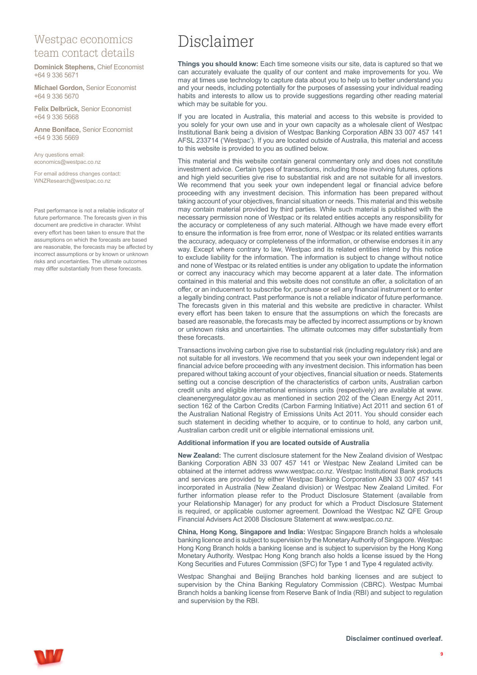### Westpac economics team contact details

**Dominick Stephens,** Chief Economist +64 9 336 5671

**Michael Gordon,** Senior Economist +64 9 336 5670

**Felix Delbrück,** Senior Economist +64 9 336 5668

**Anne Boniface,** Senior Economist +64 9 336 5669

Any questions email: economics@westpac.co.nz

For email address changes contact: WNZResearch@westpac.co.nz

Past performance is not a reliable indicator of future performance. The forecasts given in this document are predictive in character. Whilst every effort has been taken to ensure that the assumptions on which the forecasts are based are reasonable, the forecasts may be affected by incorrect assumptions or by known or unknown risks and uncertainties. The ultimate outcomes may differ substantially from these forecasts.

# Disclaimer

**Things you should know:** Each time someone visits our site, data is captured so that we can accurately evaluate the quality of our content and make improvements for you. We may at times use technology to capture data about you to help us to better understand you and your needs, including potentially for the purposes of assessing your individual reading habits and interests to allow us to provide suggestions regarding other reading material which may be suitable for you.

If you are located in Australia, this material and access to this website is provided to you solely for your own use and in your own capacity as a wholesale client of Westpac Institutional Bank being a division of Westpac Banking Corporation ABN 33 007 457 141 AFSL 233714 ('Westpac'). If you are located outside of Australia, this material and access to this website is provided to you as outlined below.

This material and this website contain general commentary only and does not constitute investment advice. Certain types of transactions, including those involving futures, options and high yield securities give rise to substantial risk and are not suitable for all investors. We recommend that you seek your own independent legal or financial advice before proceeding with any investment decision. This information has been prepared without taking account of your objectives, financial situation or needs. This material and this website may contain material provided by third parties. While such material is published with the necessary permission none of Westpac or its related entities accepts any responsibility for the accuracy or completeness of any such material. Although we have made every effort to ensure the information is free from error, none of Westpac or its related entities warrants the accuracy, adequacy or completeness of the information, or otherwise endorses it in any way. Except where contrary to law, Westpac and its related entities intend by this notice to exclude liability for the information. The information is subject to change without notice and none of Westpac or its related entities is under any obligation to update the information or correct any inaccuracy which may become apparent at a later date. The information contained in this material and this website does not constitute an offer, a solicitation of an offer, or an inducement to subscribe for, purchase or sell any financial instrument or to enter a legally binding contract. Past performance is not a reliable indicator of future performance. The forecasts given in this material and this website are predictive in character. Whilst every effort has been taken to ensure that the assumptions on which the forecasts are based are reasonable, the forecasts may be affected by incorrect assumptions or by known or unknown risks and uncertainties. The ultimate outcomes may differ substantially from these forecasts.

Transactions involving carbon give rise to substantial risk (including regulatory risk) and are not suitable for all investors. We recommend that you seek your own independent legal or financial advice before proceeding with any investment decision. This information has been prepared without taking account of your objectives, financial situation or needs. Statements setting out a concise description of the characteristics of carbon units, Australian carbon credit units and eligible international emissions units (respectively) are available at www. cleanenergyregulator.gov.au as mentioned in section 202 of the Clean Energy Act 2011, section 162 of the Carbon Credits (Carbon Farming Initiative) Act 2011 and section 61 of the Australian National Registry of Emissions Units Act 2011. You should consider each such statement in deciding whether to acquire, or to continue to hold, any carbon unit, Australian carbon credit unit or eligible international emissions unit.

#### **Additional information if you are located outside of Australia**

**New Zealand:** The current disclosure statement for the New Zealand division of Westpac Banking Corporation ABN 33 007 457 141 or Westpac New Zealand Limited can be obtained at the internet address www.westpac.co.nz. Westpac Institutional Bank products and services are provided by either Westpac Banking Corporation ABN 33 007 457 141 incorporated in Australia (New Zealand division) or Westpac New Zealand Limited. For further information please refer to the Product Disclosure Statement (available from your Relationship Manager) for any product for which a Product Disclosure Statement is required, or applicable customer agreement. Download the Westpac NZ QFE Group Financial Advisers Act 2008 Disclosure Statement at www.westpac.co.nz.

**China, Hong Kong, Singapore and India:** Westpac Singapore Branch holds a wholesale banking licence and is subject to supervision by the Monetary Authority of Singapore. Westpac Hong Kong Branch holds a banking license and is subject to supervision by the Hong Kong Monetary Authority. Westpac Hong Kong branch also holds a license issued by the Hong Kong Securities and Futures Commission (SFC) for Type 1 and Type 4 regulated activity.

Westpac Shanghai and Beijing Branches hold banking licenses and are subject to supervision by the China Banking Regulatory Commission (CBRC). Westpac Mumbai Branch holds a banking license from Reserve Bank of India (RBI) and subject to regulation and supervision by the RBI.